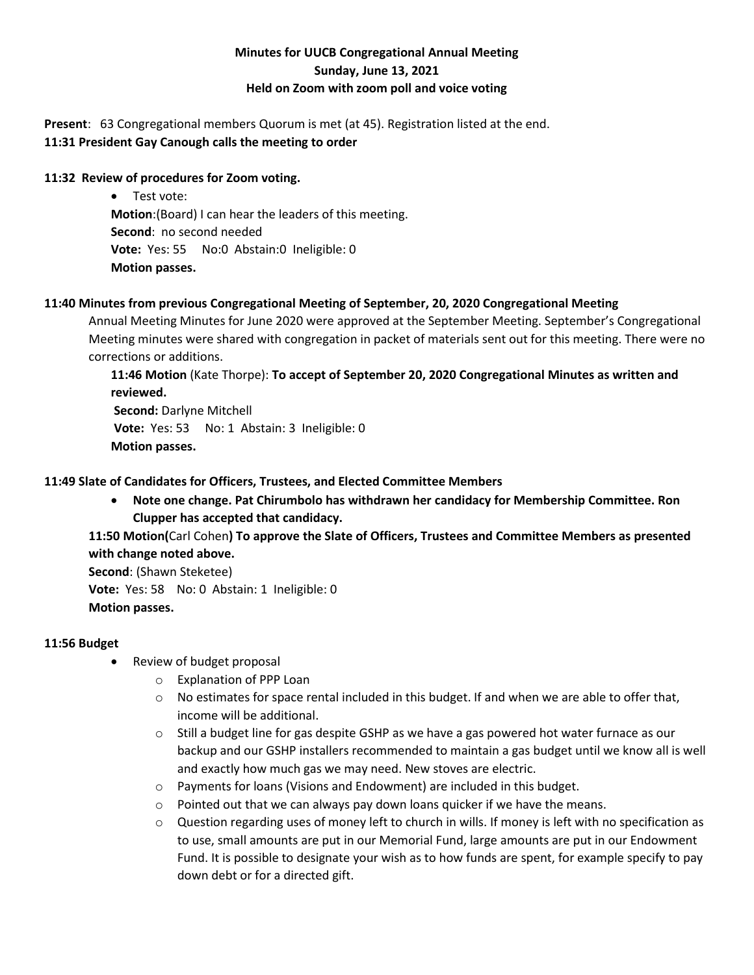# **Minutes for UUCB Congregational Annual Meeting Sunday, June 13, 2021 Held on Zoom with zoom poll and voice voting**

**Present**: 63 Congregational members Quorum is met (at 45). Registration listed at the end. **11:31 President Gay Canough calls the meeting to order**

## **11:32 Review of procedures for Zoom voting.**

• Test vote: **Motion**:(Board) I can hear the leaders of this meeting. **Second**: no second needed **Vote:** Yes: 55 No:0 Abstain:0 Ineligible: 0 **Motion passes.**

## **11:40 Minutes from previous Congregational Meeting of September, 20, 2020 Congregational Meeting**

Annual Meeting Minutes for June 2020 were approved at the September Meeting. September's Congregational Meeting minutes were shared with congregation in packet of materials sent out for this meeting. There were no corrections or additions.

**11:46 Motion** (Kate Thorpe): **To accept of September 20, 2020 Congregational Minutes as written and reviewed. Second:** Darlyne Mitchell **Vote:** Yes: 53 No: 1 Abstain: 3 Ineligible: 0 **Motion passes.**

## **11:49 Slate of Candidates for Officers, Trustees, and Elected Committee Members**

• **Note one change. Pat Chirumbolo has withdrawn her candidacy for Membership Committee. Ron Clupper has accepted that candidacy.**

**11:50 Motion(**Carl Cohen**) To approve the Slate of Officers, Trustees and Committee Members as presented with change noted above.**

**Second**: (Shawn Steketee) **Vote:** Yes: 58 No: 0 Abstain: 1 Ineligible: 0 **Motion passes.**

## **11:56 Budget**

- Review of budget proposal
	- o Explanation of PPP Loan
	- $\circ$  No estimates for space rental included in this budget. If and when we are able to offer that, income will be additional.
	- $\circ$  Still a budget line for gas despite GSHP as we have a gas powered hot water furnace as our backup and our GSHP installers recommended to maintain a gas budget until we know all is well and exactly how much gas we may need. New stoves are electric.
	- o Payments for loans (Visions and Endowment) are included in this budget.
	- o Pointed out that we can always pay down loans quicker if we have the means.
	- $\circ$  Question regarding uses of money left to church in wills. If money is left with no specification as to use, small amounts are put in our Memorial Fund, large amounts are put in our Endowment Fund. It is possible to designate your wish as to how funds are spent, for example specify to pay down debt or for a directed gift.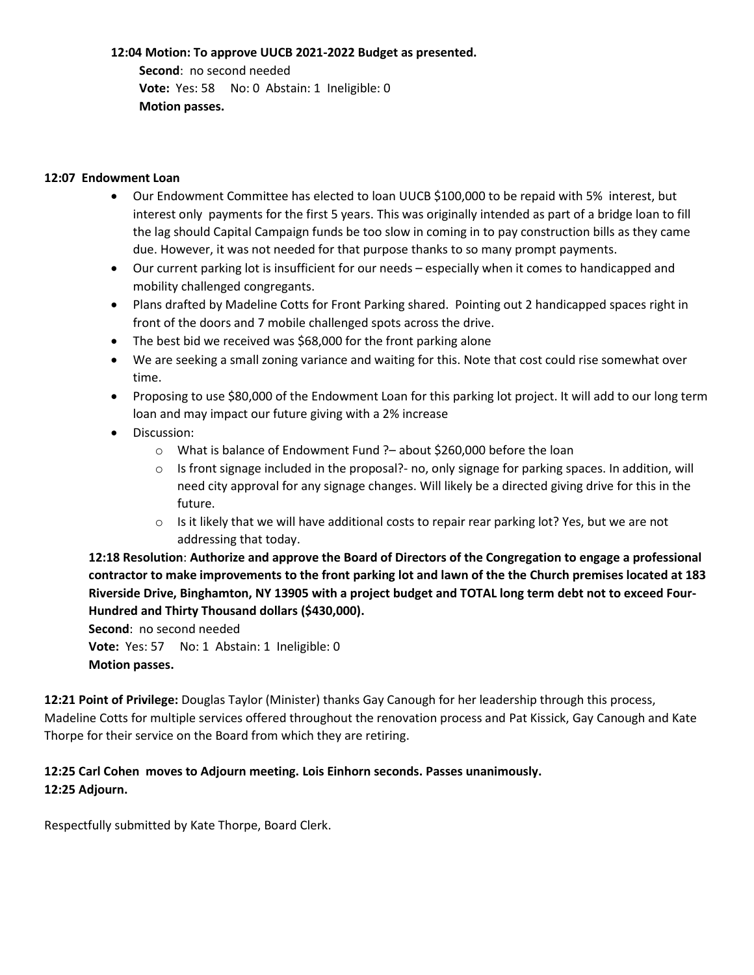#### **12:04 Motion: To approve UUCB 2021-2022 Budget as presented.**

 **Second**: no second needed  **Vote:** Yes: 58 No: 0 Abstain: 1 Ineligible: 0  **Motion passes.**

### **12:07 Endowment Loan**

- Our Endowment Committee has elected to loan UUCB \$100,000 to be repaid with 5% interest, but interest only payments for the first 5 years. This was originally intended as part of a bridge loan to fill the lag should Capital Campaign funds be too slow in coming in to pay construction bills as they came due. However, it was not needed for that purpose thanks to so many prompt payments.
- Our current parking lot is insufficient for our needs especially when it comes to handicapped and mobility challenged congregants.
- Plans drafted by Madeline Cotts for Front Parking shared. Pointing out 2 handicapped spaces right in front of the doors and 7 mobile challenged spots across the drive.
- The best bid we received was \$68,000 for the front parking alone
- We are seeking a small zoning variance and waiting for this. Note that cost could rise somewhat over time.
- Proposing to use \$80,000 of the Endowment Loan for this parking lot project. It will add to our long term loan and may impact our future giving with a 2% increase
- Discussion:
	- o What is balance of Endowment Fund ?– about \$260,000 before the loan
	- $\circ$  Is front signage included in the proposal?- no, only signage for parking spaces. In addition, will need city approval for any signage changes. Will likely be a directed giving drive for this in the future.
	- $\circ$  Is it likely that we will have additional costs to repair rear parking lot? Yes, but we are not addressing that today.

**12:18 Resolution**: **Authorize and approve the Board of Directors of the Congregation to engage a professional contractor to make improvements to the front parking lot and lawn of the the Church premises located at 183 Riverside Drive, Binghamton, NY 13905 with a project budget and TOTAL long term debt not to exceed Four-Hundred and Thirty Thousand dollars (\$430,000).**

**Second**: no second needed **Vote:** Yes: 57 No: 1 Abstain: 1 Ineligible: 0 **Motion passes.**

**12:21 Point of Privilege:** Douglas Taylor (Minister) thanks Gay Canough for her leadership through this process, Madeline Cotts for multiple services offered throughout the renovation process and Pat Kissick, Gay Canough and Kate Thorpe for their service on the Board from which they are retiring.

## **12:25 Carl Cohen moves to Adjourn meeting. Lois Einhorn seconds. Passes unanimously. 12:25 Adjourn.**

Respectfully submitted by Kate Thorpe, Board Clerk.